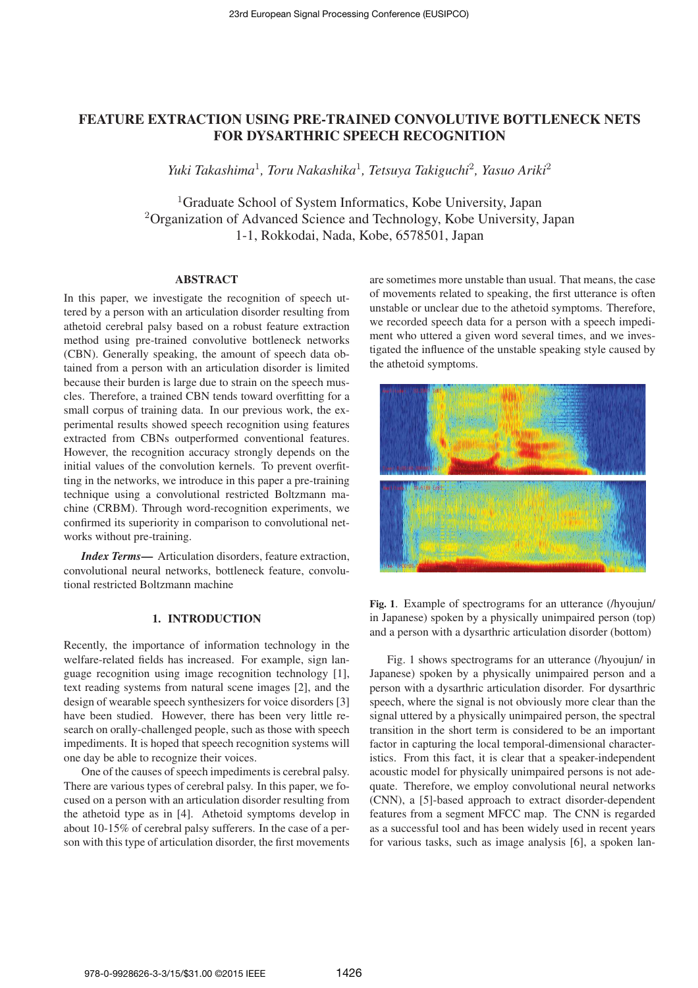# FEATURE EXTRACTION USING PRE-TRAINED CONVOLUTIVE BOTTLENECK NETS FOR DYSARTHRIC SPEECH RECOGNITION

*Yuki Takashima*<sup>1</sup> *, Toru Nakashika*<sup>1</sup> *, Tetsuya Takiguchi*<sup>2</sup> *, Yasuo Ariki*<sup>2</sup>

<sup>1</sup>Graduate School of System Informatics, Kobe University, Japan <sup>2</sup>Organization of Advanced Science and Technology, Kobe University, Japan 1-1, Rokkodai, Nada, Kobe, 6578501, Japan

## ABSTRACT

In this paper, we investigate the recognition of speech uttered by a person with an articulation disorder resulting from athetoid cerebral palsy based on a robust feature extraction method using pre-trained convolutive bottleneck networks (CBN). Generally speaking, the amount of speech data obtained from a person with an articulation disorder is limited because their burden is large due to strain on the speech muscles. Therefore, a trained CBN tends toward overfitting for a small corpus of training data. In our previous work, the experimental results showed speech recognition using features extracted from CBNs outperformed conventional features. However, the recognition accuracy strongly depends on the initial values of the convolution kernels. To prevent overfitting in the networks, we introduce in this paper a pre-training technique using a convolutional restricted Boltzmann machine (CRBM). Through word-recognition experiments, we confirmed its superiority in comparison to convolutional networks without pre-training.

*Index Terms*— Articulation disorders, feature extraction, convolutional neural networks, bottleneck feature, convolutional restricted Boltzmann machine

# 1. INTRODUCTION

Recently, the importance of information technology in the welfare-related fields has increased. For example, sign language recognition using image recognition technology [1], text reading systems from natural scene images [2], and the design of wearable speech synthesizers for voice disorders [3] have been studied. However, there has been very little research on orally-challenged people, such as those with speech impediments. It is hoped that speech recognition systems will one day be able to recognize their voices.

One of the causes of speech impediments is cerebral palsy. There are various types of cerebral palsy. In this paper, we focused on a person with an articulation disorder resulting from the athetoid type as in [4]. Athetoid symptoms develop in about 10-15% of cerebral palsy sufferers. In the case of a person with this type of articulation disorder, the first movements

are sometimes more unstable than usual. That means, the case of movements related to speaking, the first utterance is often unstable or unclear due to the athetoid symptoms. Therefore, we recorded speech data for a person with a speech impediment who uttered a given word several times, and we investigated the influence of the unstable speaking style caused by the athetoid symptoms.



Fig. 1. Example of spectrograms for an utterance (/hyoujun/ in Japanese) spoken by a physically unimpaired person (top) and a person with a dysarthric articulation disorder (bottom)

Fig. 1 shows spectrograms for an utterance (/hyoujun/ in Japanese) spoken by a physically unimpaired person and a person with a dysarthric articulation disorder. For dysarthric speech, where the signal is not obviously more clear than the signal uttered by a physically unimpaired person, the spectral transition in the short term is considered to be an important factor in capturing the local temporal-dimensional characteristics. From this fact, it is clear that a speaker-independent acoustic model for physically unimpaired persons is not adequate. Therefore, we employ convolutional neural networks (CNN), a [5]-based approach to extract disorder-dependent features from a segment MFCC map. The CNN is regarded as a successful tool and has been widely used in recent years for various tasks, such as image analysis [6], a spoken lan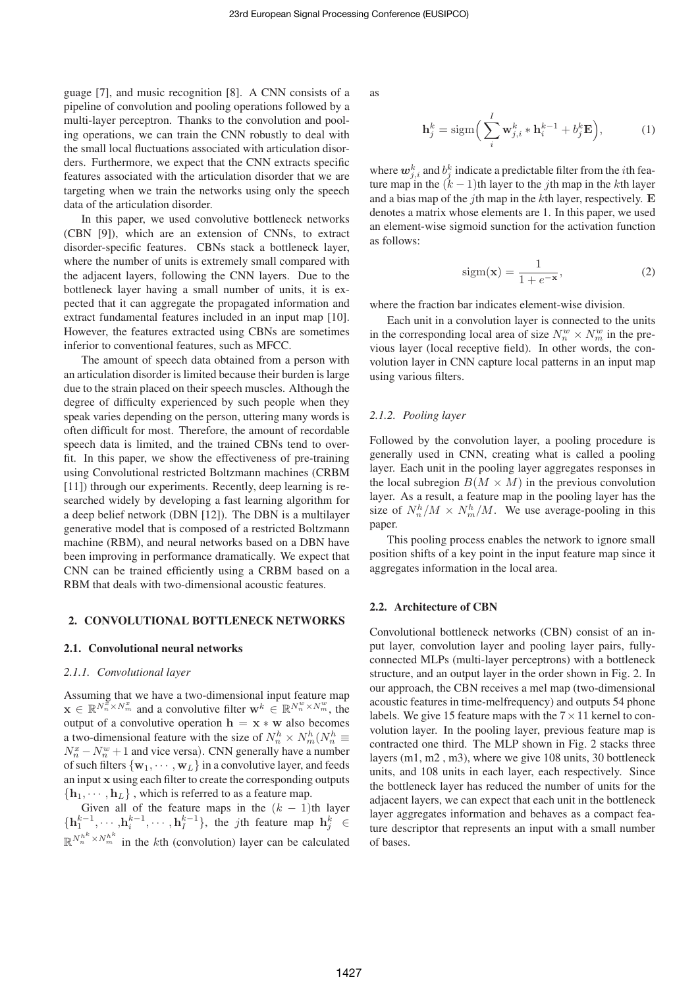guage [7], and music recognition [8]. A CNN consists of a pipeline of convolution and pooling operations followed by a multi-layer perceptron. Thanks to the convolution and pooling operations, we can train the CNN robustly to deal with the small local fluctuations associated with articulation disorders. Furthermore, we expect that the CNN extracts specific features associated with the articulation disorder that we are targeting when we train the networks using only the speech data of the articulation disorder.

In this paper, we used convolutive bottleneck networks (CBN [9]), which are an extension of CNNs, to extract disorder-specific features. CBNs stack a bottleneck layer, where the number of units is extremely small compared with the adjacent layers, following the CNN layers. Due to the bottleneck layer having a small number of units, it is expected that it can aggregate the propagated information and extract fundamental features included in an input map [10]. However, the features extracted using CBNs are sometimes inferior to conventional features, such as MFCC.

The amount of speech data obtained from a person with an articulation disorder is limited because their burden is large due to the strain placed on their speech muscles. Although the degree of difficulty experienced by such people when they speak varies depending on the person, uttering many words is often difficult for most. Therefore, the amount of recordable speech data is limited, and the trained CBNs tend to overfit. In this paper, we show the effectiveness of pre-training using Convolutional restricted Boltzmann machines (CRBM [11]) through our experiments. Recently, deep learning is researched widely by developing a fast learning algorithm for a deep belief network (DBN [12]). The DBN is a multilayer generative model that is composed of a restricted Boltzmann machine (RBM), and neural networks based on a DBN have been improving in performance dramatically. We expect that CNN can be trained efficiently using a CRBM based on a RBM that deals with two-dimensional acoustic features.

#### 2. CONVOLUTIONAL BOTTLENECK NETWORKS

#### 2.1. Convolutional neural networks

#### *2.1.1. Convolutional layer*

Assuming that we have a two-dimensional input feature map  $\mathbf{x} \in \mathbb{R}^{N_n^{\Sigma} \times N_m^x}$  and a convolutive filter  $\mathbf{w}^k \in \mathbb{R}^{N_n^w \times N_m^w}$ , the output of a convolutive operation  $h = x * w$  also becomes a two-dimensional feature with the size of  $N_n^h \times N_m^h(N_n^h \equiv$  $N_n^x - N_n^w + 1$  and vice versa). CNN generally have a number of such filters  $\{w_1, \dots, w_L\}$  in a convolutive layer, and feeds an input x using each filter to create the corresponding outputs  ${\bf h}_1, \cdots, {\bf h}_L$ , which is referred to as a feature map.

Given all of the feature maps in the  $(k - 1)$ th layer  $\{h_1^{k-1}, \cdots, h_i^{k-1}, \cdots, h_I^{k-1}\}$ , the *j*th feature map  $h_j^k \in$  $\mathbb{R}^{N_h^{h^k} \times N_m^{h^k}}$  in the kth (convolution) layer can be calculated as

$$
\mathbf{h}_j^k = \text{sigm}\left(\sum_i^I \mathbf{w}_{j,i}^k \ast \mathbf{h}_i^{k-1} + b_j^k \mathbf{E}\right),\tag{1}
$$

where  $\boldsymbol{w}_{j,i}^k$  and  $b_j^k$  indicate a predictable filter from the *i*th feature map in the  $(k - 1)$ th layer to the jth map in the kth layer and a bias map of the *j*th map in the  $k$ th layer, respectively. E denotes a matrix whose elements are 1. In this paper, we used an element-wise sigmoid sunction for the activation function as follows:

$$
sign(\mathbf{x}) = \frac{1}{1 + e^{-\mathbf{x}}},\tag{2}
$$

where the fraction bar indicates element-wise division.

Each unit in a convolution layer is connected to the units in the corresponding local area of size  $N_m^w \times N_m^w$  in the previous layer (local receptive field). In other words, the convolution layer in CNN capture local patterns in an input map using various filters.

### *2.1.2. Pooling layer*

Followed by the convolution layer, a pooling procedure is generally used in CNN, creating what is called a pooling layer. Each unit in the pooling layer aggregates responses in the local subregion  $B(M \times M)$  in the previous convolution layer. As a result, a feature map in the pooling layer has the size of  $N_n^h/M \times N_m^h/M$ . We use average-pooling in this paper.

This pooling process enables the network to ignore small position shifts of a key point in the input feature map since it aggregates information in the local area.

#### 2.2. Architecture of CBN

Convolutional bottleneck networks (CBN) consist of an input layer, convolution layer and pooling layer pairs, fullyconnected MLPs (multi-layer perceptrons) with a bottleneck structure, and an output layer in the order shown in Fig. 2. In our approach, the CBN receives a mel map (two-dimensional acoustic features in time-melfrequency) and outputs 54 phone labels. We give 15 feature maps with the  $7 \times 11$  kernel to convolution layer. In the pooling layer, previous feature map is contracted one third. The MLP shown in Fig. 2 stacks three layers (m1, m2 , m3), where we give 108 units, 30 bottleneck units, and 108 units in each layer, each respectively. Since the bottleneck layer has reduced the number of units for the adjacent layers, we can expect that each unit in the bottleneck layer aggregates information and behaves as a compact feature descriptor that represents an input with a small number of bases.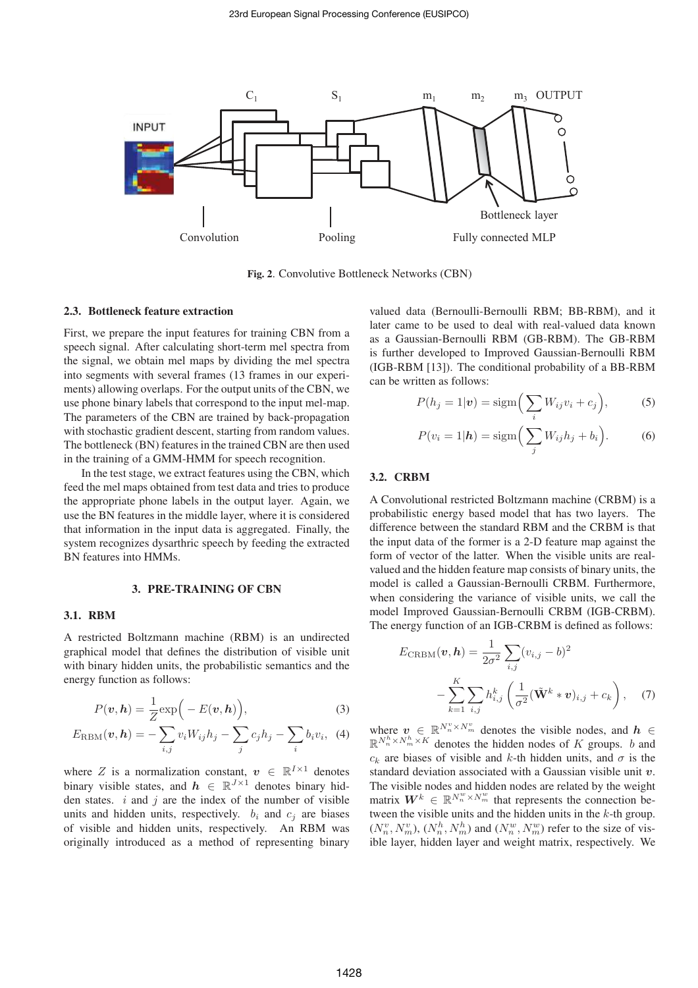

Fig. 2. Convolutive Bottleneck Networks (CBN)

#### 2.3. Bottleneck feature extraction

First, we prepare the input features for training CBN from a speech signal. After calculating short-term mel spectra from the signal, we obtain mel maps by dividing the mel spectra into segments with several frames (13 frames in our experiments) allowing overlaps. For the output units of the CBN, we use phone binary labels that correspond to the input mel-map. The parameters of the CBN are trained by back-propagation with stochastic gradient descent, starting from random values. The bottleneck (BN) features in the trained CBN are then used in the training of a GMM-HMM for speech recognition.

In the test stage, we extract features using the CBN, which feed the mel maps obtained from test data and tries to produce the appropriate phone labels in the output layer. Again, we use the BN features in the middle layer, where it is considered that information in the input data is aggregated. Finally, the system recognizes dysarthric speech by feeding the extracted BN features into HMMs.

## 3. PRE-TRAINING OF CBN

## 3.1. RBM

A restricted Boltzmann machine (RBM) is an undirected graphical model that defines the distribution of visible unit with binary hidden units, the probabilistic semantics and the energy function as follows:

$$
P(\boldsymbol{v}, \boldsymbol{h}) = \frac{1}{Z} \exp\Big(-E(\boldsymbol{v}, \boldsymbol{h})\Big),\tag{3}
$$

$$
E_{\text{RBM}}(\boldsymbol{v}, \boldsymbol{h}) = -\sum_{i,j} v_i W_{ij} h_j - \sum_j c_j h_j - \sum_i b_i v_i, \quad (4)
$$

where Z is a normalization constant,  $v \in \mathbb{R}^{I \times 1}$  denotes binary visible states, and  $h \in \mathbb{R}^{J \times 1}$  denotes binary hidden states.  $i$  and  $j$  are the index of the number of visible units and hidden units, respectively.  $b_i$  and  $c_j$  are biases of visible and hidden units, respectively. An RBM was originally introduced as a method of representing binary valued data (Bernoulli-Bernoulli RBM; BB-RBM), and it later came to be used to deal with real-valued data known as a Gaussian-Bernoulli RBM (GB-RBM). The GB-RBM is further developed to Improved Gaussian-Bernoulli RBM (IGB-RBM [13]). The conditional probability of a BB-RBM can be written as follows:

$$
P(h_j = 1|\mathbf{v}) = \text{sigm}\Big(\sum_i W_{ij} v_i + c_j\Big),\tag{5}
$$

$$
P(v_i = 1 | \mathbf{h}) = \text{sigm} \left( \sum_j W_{ij} h_j + b_i \right). \tag{6}
$$

#### 3.2. CRBM

A Convolutional restricted Boltzmann machine (CRBM) is a probabilistic energy based model that has two layers. The difference between the standard RBM and the CRBM is that the input data of the former is a 2-D feature map against the form of vector of the latter. When the visible units are realvalued and the hidden feature map consists of binary units, the model is called a Gaussian-Bernoulli CRBM. Furthermore, when considering the variance of visible units, we call the model Improved Gaussian-Bernoulli CRBM (IGB-CRBM). The energy function of an IGB-CRBM is defined as follows:

$$
E_{\text{CRBM}}(\mathbf{v}, \mathbf{h}) = \frac{1}{2\sigma^2} \sum_{i,j} (v_{i,j} - b)^2
$$

$$
- \sum_{k=1}^{K} \sum_{i,j} h_{i,j}^k \left( \frac{1}{\sigma^2} (\tilde{\mathbf{W}}^k * \mathbf{v})_{i,j} + c_k \right), \quad (7)
$$

where  $v \in \mathbb{R}^{N_n^v \times N_m^v}$  denotes the visible nodes, and  $h \in$  $\mathbb{R}^{N_n^h \times N_m^h \times K}$  denotes the hidden nodes of K groups. b and  $c_k$  are biases of visible and k-th hidden units, and  $\sigma$  is the standard deviation associated with a Gaussian visible unit  $v$ . The visible nodes and hidden nodes are related by the weight matrix  $W^k \in \mathbb{R}^{N_n^w \times N_m^w}$  that represents the connection between the visible units and the hidden units in the  $k$ -th group.  $(N_n^v, N_m^v)$ ,  $(N_n^h, N_m^h)$  and  $(N_n^w, N_m^w)$  refer to the size of visible layer, hidden layer and weight matrix, respectively. We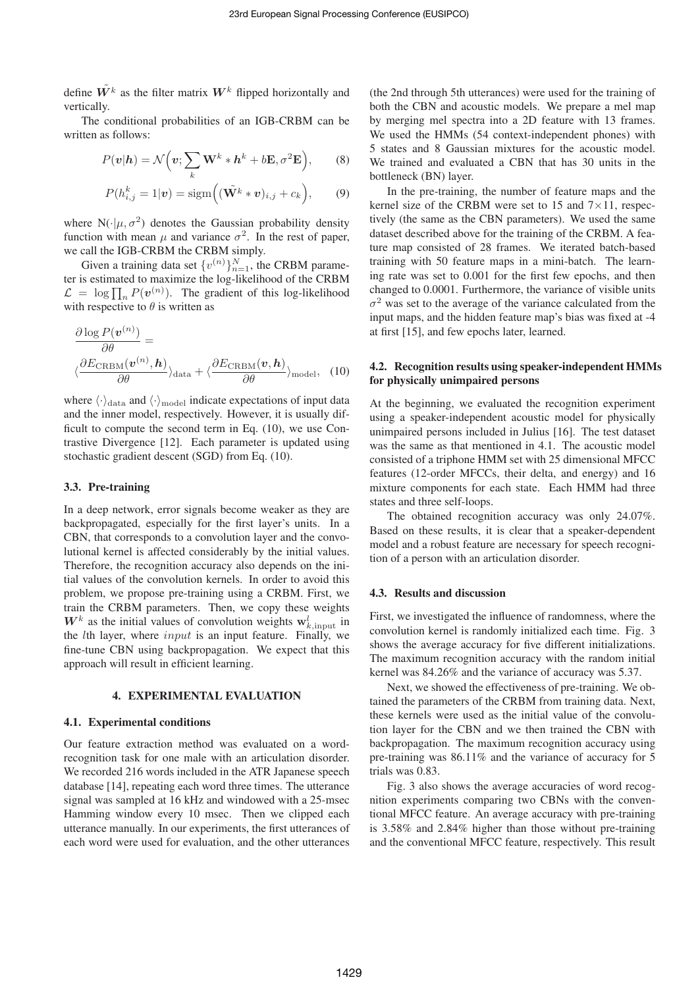define  $\tilde{W}^k$  as the filter matrix  $W^k$  flipped horizontally and vertically.

The conditional probabilities of an IGB-CRBM can be written as follows:

$$
P(\mathbf{v}|\mathbf{h}) = \mathcal{N}\Big(\mathbf{v}; \sum_{k} \mathbf{W}^{k} * \mathbf{h}^{k} + b\mathbf{E}, \sigma^{2}\mathbf{E}\Big), \qquad (8)
$$

$$
P(h_{i,j}^k = 1|\mathbf{v}) = \text{sigm}\Big((\tilde{\mathbf{W}}^k * \mathbf{v})_{i,j} + c_k\Big),\qquad(9)
$$

where  $N(\cdot|\mu, \sigma^2)$  denotes the Gaussian probability density function with mean  $\mu$  and variance  $\sigma^2$ . In the rest of paper, we call the IGB-CRBM the CRBM simply.

Given a training data set  $\{v^{(n)}\}_{n=1}^N$ , the CRBM parameter is estimated to maximize the log-likelihood of the CRBM  $\mathcal{L} = \log \prod_n P(\mathbf{v}^{(n)})$ . The gradient of this log-likelihood with respective to  $\theta$  is written as

$$
\frac{\partial \log P(\mathbf{v}^{(n)})}{\partial \theta} = \left\langle \frac{\partial E_{\text{CRBM}}(\mathbf{v}^{(n)}, \mathbf{h})}{\partial \theta} \right\rangle_{\text{data}} + \left\langle \frac{\partial E_{\text{CRBM}}(\mathbf{v}, \mathbf{h})}{\partial \theta} \right\rangle_{\text{model}}, \quad (10)
$$

where  $\langle \cdot \rangle_{\text{data}}$  and  $\langle \cdot \rangle_{\text{model}}$  indicate expectations of input data and the inner model, respectively. However, it is usually difficult to compute the second term in Eq. (10), we use Contrastive Divergence [12]. Each parameter is updated using stochastic gradient descent (SGD) from Eq. (10).

# 3.3. Pre-training

In a deep network, error signals become weaker as they are backpropagated, especially for the first layer's units. In a CBN, that corresponds to a convolution layer and the convolutional kernel is affected considerably by the initial values. Therefore, the recognition accuracy also depends on the initial values of the convolution kernels. In order to avoid this problem, we propose pre-training using a CRBM. First, we train the CRBM parameters. Then, we copy these weights  $W^k$  as the initial values of convolution weights  $\mathbf{w}_{k, \text{input}}^l$  in the *lth layer*, where  $input$  is an input feature. Finally, we fine-tune CBN using backpropagation. We expect that this approach will result in efficient learning.

## 4. EXPERIMENTAL EVALUATION

#### 4.1. Experimental conditions

Our feature extraction method was evaluated on a wordrecognition task for one male with an articulation disorder. We recorded 216 words included in the ATR Japanese speech database [14], repeating each word three times. The utterance signal was sampled at 16 kHz and windowed with a 25-msec Hamming window every 10 msec. Then we clipped each utterance manually. In our experiments, the first utterances of each word were used for evaluation, and the other utterances

(the 2nd through 5th utterances) were used for the training of both the CBN and acoustic models. We prepare a mel map by merging mel spectra into a 2D feature with 13 frames. We used the HMMs (54 context-independent phones) with 5 states and 8 Gaussian mixtures for the acoustic model. We trained and evaluated a CBN that has 30 units in the bottleneck (BN) layer.

In the pre-training, the number of feature maps and the kernel size of the CRBM were set to 15 and  $7 \times 11$ , respectively (the same as the CBN parameters). We used the same dataset described above for the training of the CRBM. A feature map consisted of 28 frames. We iterated batch-based training with 50 feature maps in a mini-batch. The learning rate was set to 0.001 for the first few epochs, and then changed to 0.0001. Furthermore, the variance of visible units  $\sigma^2$  was set to the average of the variance calculated from the input maps, and the hidden feature map's bias was fixed at -4 at first [15], and few epochs later, learned.

# 4.2. Recognition results using speaker-independent HMMs for physically unimpaired persons

At the beginning, we evaluated the recognition experiment using a speaker-independent acoustic model for physically unimpaired persons included in Julius [16]. The test dataset was the same as that mentioned in 4.1. The acoustic model consisted of a triphone HMM set with 25 dimensional MFCC features (12-order MFCCs, their delta, and energy) and 16 mixture components for each state. Each HMM had three states and three self-loops.

The obtained recognition accuracy was only 24.07%. Based on these results, it is clear that a speaker-dependent model and a robust feature are necessary for speech recognition of a person with an articulation disorder.

#### 4.3. Results and discussion

First, we investigated the influence of randomness, where the convolution kernel is randomly initialized each time. Fig. 3 shows the average accuracy for five different initializations. The maximum recognition accuracy with the random initial kernel was 84.26% and the variance of accuracy was 5.37.

Next, we showed the effectiveness of pre-training. We obtained the parameters of the CRBM from training data. Next, these kernels were used as the initial value of the convolution layer for the CBN and we then trained the CBN with backpropagation. The maximum recognition accuracy using pre-training was 86.11% and the variance of accuracy for 5 trials was 0.83.

Fig. 3 also shows the average accuracies of word recognition experiments comparing two CBNs with the conventional MFCC feature. An average accuracy with pre-training is 3.58% and 2.84% higher than those without pre-training and the conventional MFCC feature, respectively. This result